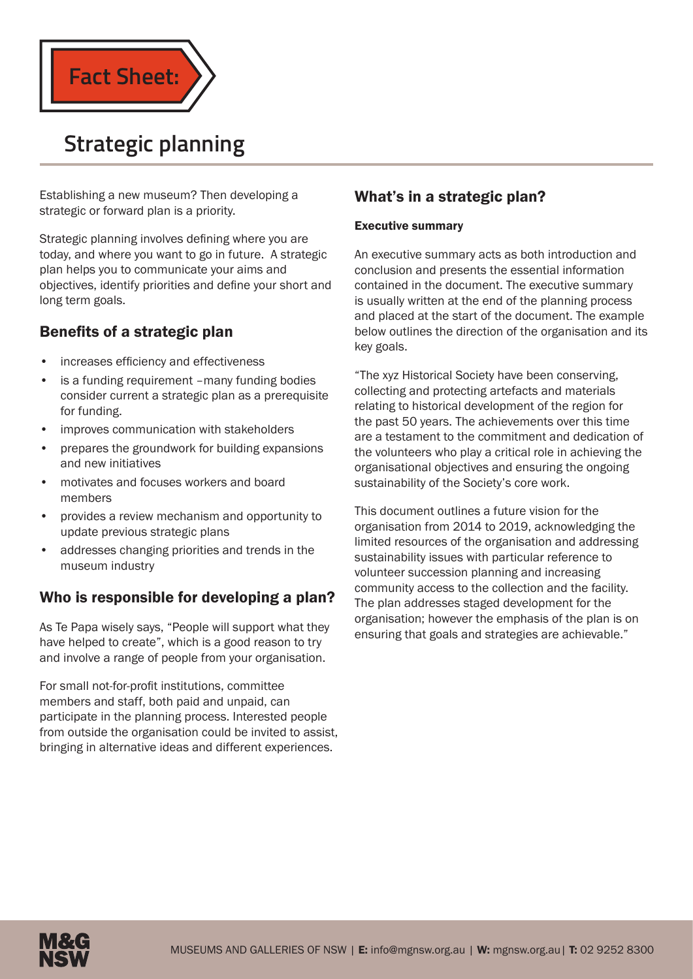

# **Strategic planning**

Establishing a new museum? Then developing a strategic or forward plan is a priority.

Strategic planning involves defining where you are today, and where you want to go in future. A strategic plan helps you to communicate your aims and objectives, identify priorities and define your short and long term goals.

# Benefits of a strategic plan

- increases efficiency and effectiveness
- is a funding requirement –many funding bodies consider current a strategic plan as a prerequisite for funding.
- improves communication with stakeholders
- prepares the groundwork for building expansions and new initiatives
- motivates and focuses workers and board members
- provides a review mechanism and opportunity to update previous strategic plans
- addresses changing priorities and trends in the museum industry

# Who is responsible for developing a plan?

As Te Papa wisely says, "People will support what they have helped to create", which is a good reason to try and involve a range of people from your organisation.

For small not-for-profit institutions, committee members and staff, both paid and unpaid, can participate in the planning process. Interested people from outside the organisation could be invited to assist, bringing in alternative ideas and different experiences.

# What's in a strategic plan?

## Executive summary

An executive summary acts as both introduction and conclusion and presents the essential information contained in the document. The executive summary is usually written at the end of the planning process and placed at the start of the document. The example below outlines the direction of the organisation and its key goals.

"The xyz Historical Society have been conserving, collecting and protecting artefacts and materials relating to historical development of the region for the past 50 years. The achievements over this time are a testament to the commitment and dedication of the volunteers who play a critical role in achieving the organisational objectives and ensuring the ongoing sustainability of the Society's core work.

This document outlines a future vision for the organisation from 2014 to 2019, acknowledging the limited resources of the organisation and addressing sustainability issues with particular reference to volunteer succession planning and increasing community access to the collection and the facility. The plan addresses staged development for the organisation; however the emphasis of the plan is on ensuring that goals and strategies are achievable."